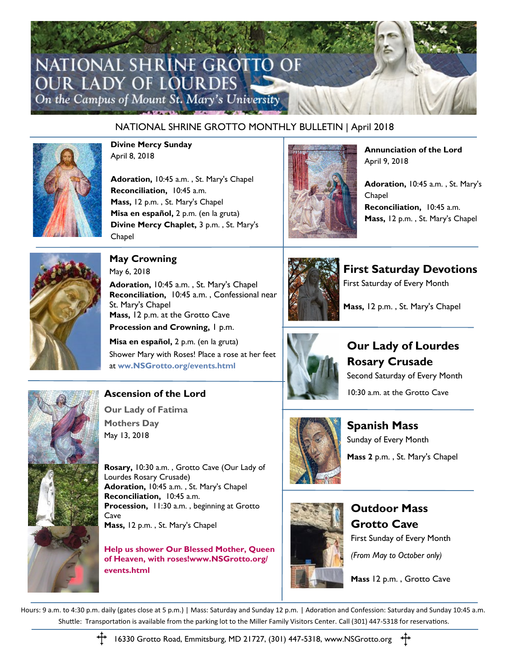# NATIONAL SHRINE GROTTO OF **OUR LADY OF LOURDES** On the Campus of Mount St. Mary's University

#### NATIONAL SHRINE GROTTO MONTHLY BULLETIN | April 2018



**Divine Mercy Sunday** April 8, 2018

**Adoration,** 10:45 a.m. , St. Mary's Chapel **Reconciliation,** 10:45 a.m. **Mass,** 12 p.m. , St. Mary's Chapel **Misa en español,** 2 p.m. (en la gruta) **Divine Mercy Chaplet,** 3 p.m. , St. Mary's Chapel



**Annunciation of the Lord** April 9, 2018

**Adoration,** 10:45 a.m. , St. Mary's Chapel **Reconciliation,** 10:45 a.m. **Mass,** 12 p.m. , St. Mary's Chapel



**May Crowning** May 6, 2018 **Adoration,** 10:45 a.m. , St. Mary's Chapel **Reconciliation,** 10:45 a.m. , Confessional near St. Mary's Chapel **Mass,** 12 p.m. at the Grotto Cave **Procession and Crowning, 1 p.m.** 

**Misa en español,** 2 p.m. (en la gruta) Shower Mary with Roses! Place a rose at her feet at **[ww.NSGrotto.org/events.html](http://www.NSGrotto.org/events.html)**



**First Saturday Devotions** First Saturday of Every Month

**Mass,** 12 p.m. , St. Mary's Chapel



**Our Lady of Lourdes Rosary Crusade** Second Saturday of Every Month 10:30 a.m. at the Grotto Cave



**Spanish Mass** Sunday of Every Month **Mass 2** p.m. , St. Mary's Chapel



**Outdoor Mass Grotto Cave** First Sunday of Every Month *(From May to October only)*

**Mass** 12 p.m. , Grotto Cave





### **Ascension of the Lord**

**Our Lady of Fatima Mothers Day**  May 13, 2018

**Rosary,** 10:30 a.m. , Grotto Cave (Our Lady of Lourdes Rosary Crusade) **Adoration,** 10:45 a.m. , St. Mary's Chapel **Reconciliation,** 10:45 a.m. **Procession,** 11:30 a.m. , beginning at Grotto **Cave Mass,** 12 p.m. , St. Mary's Chapel

**Help us shower Our Blessed Mother, Queen of Heaven, with roses!www.NSGrotto.org/ events.html**



16330 Grotto Road, Emmitsburg, MD 21727, (301) 447-5318, www.NSGrotto.org